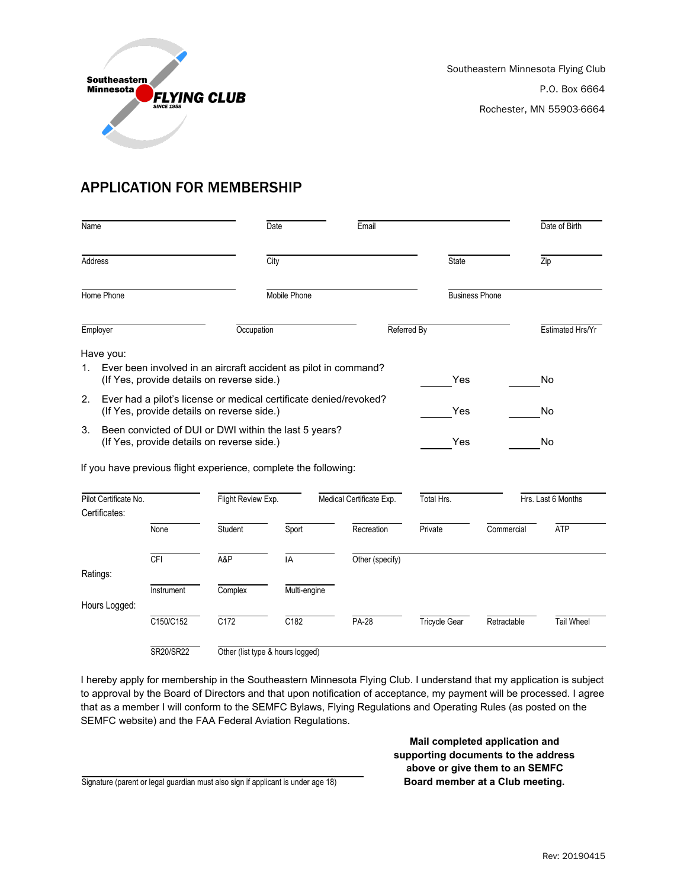

## APPLICATION FOR MEMBERSHIP

| Name                                                                                                                  |                                                                                                               |                                                                 | Date                             |  | Email                    |                      |             | Date of Birth      |  |
|-----------------------------------------------------------------------------------------------------------------------|---------------------------------------------------------------------------------------------------------------|-----------------------------------------------------------------|----------------------------------|--|--------------------------|----------------------|-------------|--------------------|--|
| Address                                                                                                               |                                                                                                               | City                                                            |                                  |  | <b>State</b>             |                      | Zip         |                    |  |
| Home Phone                                                                                                            |                                                                                                               | Mobile Phone                                                    |                                  |  | <b>Business Phone</b>    |                      |             |                    |  |
| Employer                                                                                                              |                                                                                                               | Occupation                                                      |                                  |  | Referred By              |                      |             | Estimated Hrs/Yr   |  |
| Have you:                                                                                                             |                                                                                                               |                                                                 |                                  |  |                          |                      |             |                    |  |
| 1.                                                                                                                    | Ever been involved in an aircraft accident as pilot in command?<br>(If Yes, provide details on reverse side.) |                                                                 |                                  |  |                          | Yes                  |             | <b>No</b>          |  |
| 2.<br>Ever had a pilot's license or medical certificate denied/revoked?<br>(If Yes, provide details on reverse side.) |                                                                                                               |                                                                 |                                  |  |                          | Yes                  |             | No                 |  |
| 3.<br>Been convicted of DUI or DWI within the last 5 years?<br>(If Yes, provide details on reverse side.)             |                                                                                                               |                                                                 |                                  |  |                          | Yes                  |             | No                 |  |
|                                                                                                                       |                                                                                                               | If you have previous flight experience, complete the following: |                                  |  |                          |                      |             |                    |  |
| Pilot Certificate No.<br>Certificates:                                                                                |                                                                                                               |                                                                 | Flight Review Exp.               |  | Medical Certificate Exp. | Total Hrs.           |             | Hrs. Last 6 Months |  |
|                                                                                                                       | None                                                                                                          | Student                                                         | Sport                            |  | Recreation               | Private              | Commercial  | <b>ATP</b>         |  |
|                                                                                                                       | <b>CFI</b>                                                                                                    | A&P                                                             | IA                               |  | Other (specify)          |                      |             |                    |  |
| Ratings:                                                                                                              | Instrument                                                                                                    | Complex                                                         | Multi-engine                     |  |                          |                      |             |                    |  |
| Hours Logged:                                                                                                         |                                                                                                               |                                                                 |                                  |  |                          |                      |             |                    |  |
|                                                                                                                       | C150/C152                                                                                                     | $\overline{C172}$                                               | C182                             |  | <b>PA-28</b>             | <b>Tricycle Gear</b> | Retractable | <b>Tail Wheel</b>  |  |
|                                                                                                                       | SR20/SR22                                                                                                     |                                                                 | Other (list type & hours logged) |  |                          |                      |             |                    |  |

I hereby apply for membership in the Southeastern Minnesota Flying Club. I understand that my application is subject to approval by the Board of Directors and that upon notification of acceptance, my payment will be processed. I agree that as a member I will conform to the SEMFC Bylaws, Flying Regulations and Operating Rules (as posted on the SEMFC website) and the FAA Federal Aviation Regulations.

> **Mail completed application and supporting documents to the address above or give them to an SEMFC**

Signature (parent or legal guardian must also sign if applicant is under age 18) **Board member at a Club meeting.**